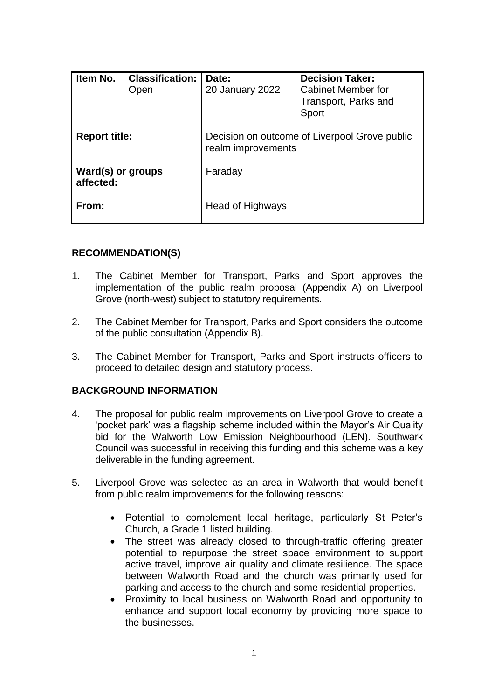| Item No.                       | <b>Classification:</b><br>Open | Date:<br>20 January 2022                                            | <b>Decision Taker:</b><br><b>Cabinet Member for</b><br>Transport, Parks and<br>Sport |
|--------------------------------|--------------------------------|---------------------------------------------------------------------|--------------------------------------------------------------------------------------|
| <b>Report title:</b>           |                                | Decision on outcome of Liverpool Grove public<br>realm improvements |                                                                                      |
| Ward(s) or groups<br>affected: |                                | Faraday                                                             |                                                                                      |
| From:                          |                                | Head of Highways                                                    |                                                                                      |

#### **RECOMMENDATION(S)**

- 1. The Cabinet Member for Transport, Parks and Sport approves the implementation of the public realm proposal (Appendix A) on Liverpool Grove (north-west) subject to statutory requirements.
- 2. The Cabinet Member for Transport, Parks and Sport considers the outcome of the public consultation (Appendix B).
- 3. The Cabinet Member for Transport, Parks and Sport instructs officers to proceed to detailed design and statutory process.

### **BACKGROUND INFORMATION**

- 4. The proposal for public realm improvements on Liverpool Grove to create a 'pocket park' was a flagship scheme included within the Mayor's Air Quality bid for the Walworth Low Emission Neighbourhood (LEN). Southwark Council was successful in receiving this funding and this scheme was a key deliverable in the funding agreement.
- 5. Liverpool Grove was selected as an area in Walworth that would benefit from public realm improvements for the following reasons:
	- Potential to complement local heritage, particularly St Peter's Church, a Grade 1 listed building.
	- The street was already closed to through-traffic offering greater potential to repurpose the street space environment to support active travel, improve air quality and climate resilience. The space between Walworth Road and the church was primarily used for parking and access to the church and some residential properties.
	- Proximity to local business on Walworth Road and opportunity to enhance and support local economy by providing more space to the businesses.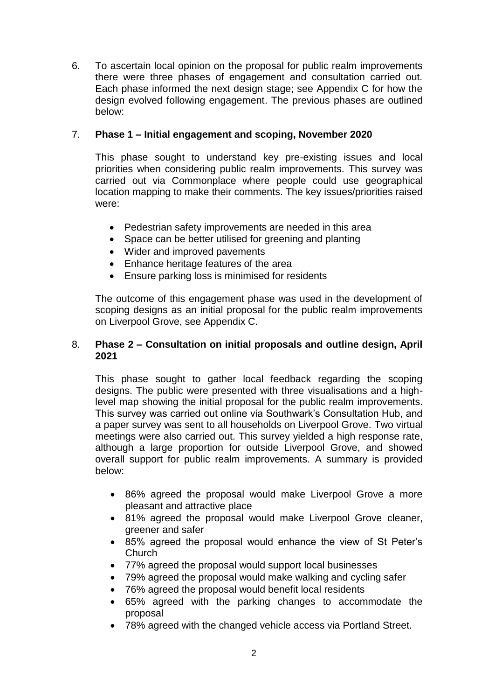6. To ascertain local opinion on the proposal for public realm improvements there were three phases of engagement and consultation carried out. Each phase informed the next design stage; see Appendix C for how the design evolved following engagement. The previous phases are outlined below:

# 7. **Phase 1 – Initial engagement and scoping, November 2020**

This phase sought to understand key pre-existing issues and local priorities when considering public realm improvements. This survey was carried out via Commonplace where people could use geographical location mapping to make their comments. The key issues/priorities raised were:

- Pedestrian safety improvements are needed in this area
- Space can be better utilised for greening and planting
- Wider and improved pavements
- Enhance heritage features of the area
- Ensure parking loss is minimised for residents

The outcome of this engagement phase was used in the development of scoping designs as an initial proposal for the public realm improvements on Liverpool Grove, see Appendix C.

# 8. **Phase 2 – Consultation on initial proposals and outline design, April 2021**

This phase sought to gather local feedback regarding the scoping designs. The public were presented with three visualisations and a highlevel map showing the initial proposal for the public realm improvements. This survey was carried out online via Southwark's Consultation Hub, and a paper survey was sent to all households on Liverpool Grove. Two virtual meetings were also carried out. This survey yielded a high response rate, although a large proportion for outside Liverpool Grove, and showed overall support for public realm improvements. A summary is provided below:

- 86% agreed the proposal would make Liverpool Grove a more pleasant and attractive place
- 81% agreed the proposal would make Liverpool Grove cleaner, greener and safer
- 85% agreed the proposal would enhance the view of St Peter's Church
- 77% agreed the proposal would support local businesses
- 79% agreed the proposal would make walking and cycling safer
- 76% agreed the proposal would benefit local residents
- 65% agreed with the parking changes to accommodate the proposal
- 78% agreed with the changed vehicle access via Portland Street.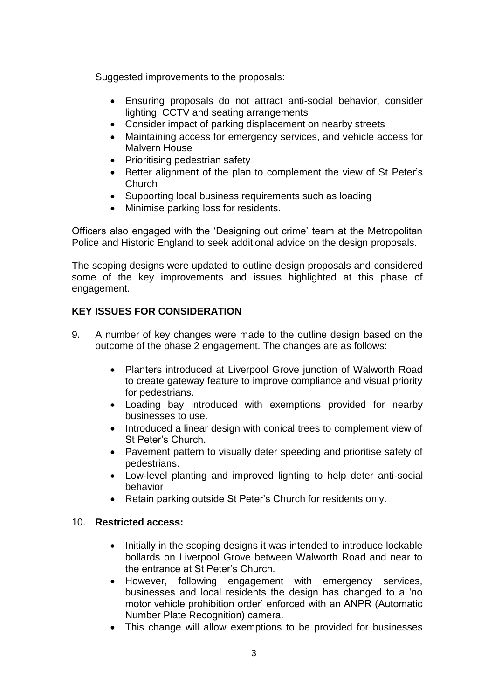Suggested improvements to the proposals:

- Ensuring proposals do not attract anti-social behavior, consider lighting, CCTV and seating arrangements
- Consider impact of parking displacement on nearby streets
- Maintaining access for emergency services, and vehicle access for Malvern House
- Prioritising pedestrian safety
- Better alignment of the plan to complement the view of St Peter's Church
- Supporting local business requirements such as loading
- Minimise parking loss for residents.

Officers also engaged with the 'Designing out crime' team at the Metropolitan Police and Historic England to seek additional advice on the design proposals.

The scoping designs were updated to outline design proposals and considered some of the key improvements and issues highlighted at this phase of engagement.

# **KEY ISSUES FOR CONSIDERATION**

- 9. A number of key changes were made to the outline design based on the outcome of the phase 2 engagement. The changes are as follows:
	- Planters introduced at Liverpool Grove junction of Walworth Road to create gateway feature to improve compliance and visual priority for pedestrians.
	- Loading bay introduced with exemptions provided for nearby businesses to use.
	- Introduced a linear design with conical trees to complement view of St Peter's Church.
	- Pavement pattern to visually deter speeding and prioritise safety of pedestrians.
	- Low-level planting and improved lighting to help deter anti-social behavior
	- Retain parking outside St Peter's Church for residents only.

# 10. **Restricted access:**

- Initially in the scoping designs it was intended to introduce lockable bollards on Liverpool Grove between Walworth Road and near to the entrance at St Peter's Church.
- However, following engagement with emergency services, businesses and local residents the design has changed to a 'no motor vehicle prohibition order' enforced with an ANPR (Automatic Number Plate Recognition) camera.
- This change will allow exemptions to be provided for businesses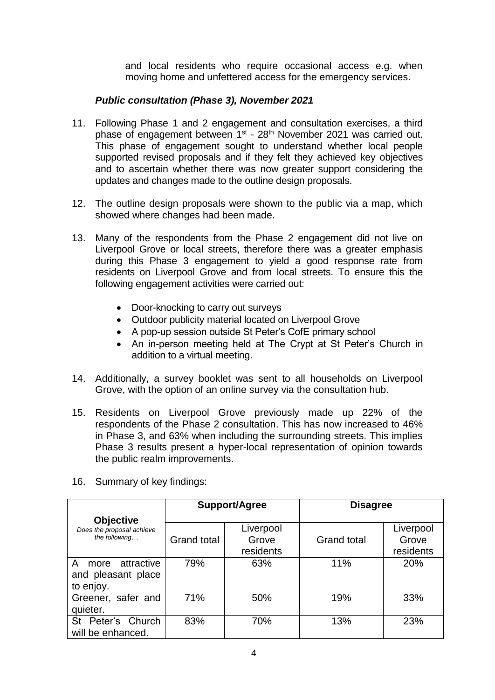and local residents who require occasional access e.g. when moving home and unfettered access for the emergency services.

# *Public consultation (Phase 3), November 2021*

- 11. Following Phase 1 and 2 engagement and consultation exercises, a third phase of engagement between 1<sup>st</sup> - 28<sup>th</sup> November 2021 was carried out. This phase of engagement sought to understand whether local people supported revised proposals and if they felt they achieved key objectives and to ascertain whether there was now greater support considering the updates and changes made to the outline design proposals.
- 12. The outline design proposals were shown to the public via a map, which showed where changes had been made.
- 13. Many of the respondents from the Phase 2 engagement did not live on Liverpool Grove or local streets, therefore there was a greater emphasis during this Phase 3 engagement to yield a good response rate from residents on Liverpool Grove and from local streets. To ensure this the following engagement activities were carried out:
	- Door-knocking to carry out surveys
	- Outdoor publicity material located on Liverpool Grove
	- A pop-up session outside St Peter's CofE primary school
	- An in-person meeting held at The Crypt at St Peter's Church in addition to a virtual meeting.
- 14. Additionally, a survey booklet was sent to all households on Liverpool Grove, with the option of an online survey via the consultation hub.
- 15. Residents on Liverpool Grove previously made up 22% of the respondents of the Phase 2 consultation. This has now increased to 46% in Phase 3, and 63% when including the surrounding streets. This implies Phase 3 results present a hyper-local representation of opinion towards the public realm improvements.

|                           | <b>Support/Agree</b> |           | <b>Disagree</b>    |           |
|---------------------------|----------------------|-----------|--------------------|-----------|
| <b>Objective</b>          |                      |           |                    |           |
| Does the proposal achieve |                      | Liverpool |                    | Liverpool |
| the following             | <b>Grand total</b>   | Grove     | <b>Grand total</b> | Grove     |
|                           |                      | residents |                    | residents |
| attractive<br>A<br>more   | 79%                  | 63%       | 11%                | 20%       |
| and pleasant place        |                      |           |                    |           |
| to enjoy.                 |                      |           |                    |           |
| Greener, safer and        | 71%                  | 50%       | 19%                | 33%       |
| quieter.                  |                      |           |                    |           |
| St Peter's Church         | 83%                  | 70%       | 13%                | 23%       |
| will be enhanced.         |                      |           |                    |           |

16. Summary of key findings: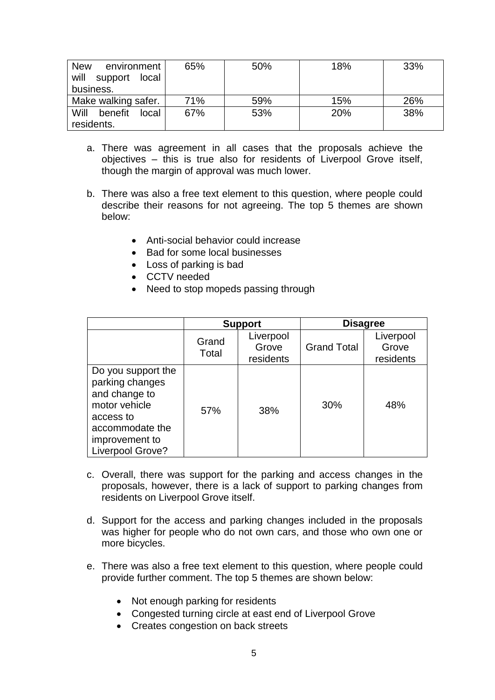| <b>New</b><br>environment<br>will<br>support<br>local<br>business. | 65% | 50% | 18% | 33% |
|--------------------------------------------------------------------|-----|-----|-----|-----|
| Make walking safer.                                                | 71% | 59% | 15% | 26% |
| Will<br>benefit<br>local                                           | 67% | 53% | 20% | 38% |
| residents.                                                         |     |     |     |     |

- a. There was agreement in all cases that the proposals achieve the objectives – this is true also for residents of Liverpool Grove itself, though the margin of approval was much lower.
- b. There was also a free text element to this question, where people could describe their reasons for not agreeing. The top 5 themes are shown below:
	- Anti-social behavior could increase
	- Bad for some local businesses
	- Loss of parking is bad
	- CCTV needed
	- Need to stop mopeds passing through

|                                                                                                                                               | <b>Support</b> |                                 | <b>Disagree</b>    |                                 |
|-----------------------------------------------------------------------------------------------------------------------------------------------|----------------|---------------------------------|--------------------|---------------------------------|
|                                                                                                                                               | Grand<br>Total | Liverpool<br>Grove<br>residents | <b>Grand Total</b> | Liverpool<br>Grove<br>residents |
| Do you support the<br>parking changes<br>and change to<br>motor vehicle<br>access to<br>accommodate the<br>improvement to<br>Liverpool Grove? | 57%            | 38%                             | 30%                | 48%                             |

- c. Overall, there was support for the parking and access changes in the proposals, however, there is a lack of support to parking changes from residents on Liverpool Grove itself.
- d. Support for the access and parking changes included in the proposals was higher for people who do not own cars, and those who own one or more bicycles.
- e. There was also a free text element to this question, where people could provide further comment. The top 5 themes are shown below:
	- Not enough parking for residents
	- Congested turning circle at east end of Liverpool Grove
	- Creates congestion on back streets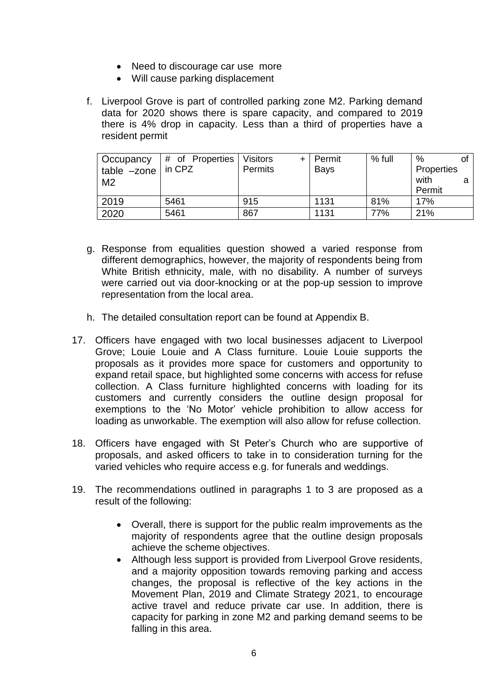- Need to discourage car use more
- Will cause parking displacement
- f. Liverpool Grove is part of controlled parking zone M2. Parking demand data for 2020 shows there is spare capacity, and compared to 2019 there is 4% drop in capacity. Less than a third of properties have a resident permit

| <b>Occupancy</b><br>table -zone<br>M <sub>2</sub> | # of Properties<br>in CPZ | <b>Visitors</b><br><b>Permits</b> | Permit<br><b>Bays</b> | % full | %<br>Properties<br>with<br>Permit |  |
|---------------------------------------------------|---------------------------|-----------------------------------|-----------------------|--------|-----------------------------------|--|
| 2019                                              | 5461                      | 915                               | 1131                  | 81%    | 17%                               |  |
| 2020                                              | 5461                      | 867                               | 1131                  | 77%    | 21%                               |  |

- g. Response from equalities question showed a varied response from different demographics, however, the majority of respondents being from White British ethnicity, male, with no disability. A number of surveys were carried out via door-knocking or at the pop-up session to improve representation from the local area.
- h. The detailed consultation report can be found at Appendix B.
- 17. Officers have engaged with two local businesses adjacent to Liverpool Grove; Louie Louie and A Class furniture. Louie Louie supports the proposals as it provides more space for customers and opportunity to expand retail space, but highlighted some concerns with access for refuse collection. A Class furniture highlighted concerns with loading for its customers and currently considers the outline design proposal for exemptions to the 'No Motor' vehicle prohibition to allow access for loading as unworkable. The exemption will also allow for refuse collection.
- 18. Officers have engaged with St Peter's Church who are supportive of proposals, and asked officers to take in to consideration turning for the varied vehicles who require access e.g. for funerals and weddings.
- 19. The recommendations outlined in paragraphs 1 to 3 are proposed as a result of the following:
	- Overall, there is support for the public realm improvements as the majority of respondents agree that the outline design proposals achieve the scheme objectives.
	- Although less support is provided from Liverpool Grove residents, and a majority opposition towards removing parking and access changes, the proposal is reflective of the key actions in the Movement Plan, 2019 and Climate Strategy 2021, to encourage active travel and reduce private car use. In addition, there is capacity for parking in zone M2 and parking demand seems to be falling in this area.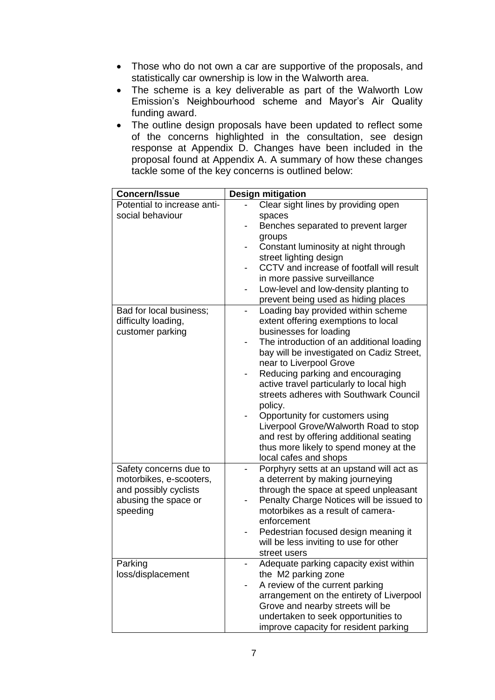- Those who do not own a car are supportive of the proposals, and statistically car ownership is low in the Walworth area.
- The scheme is a key deliverable as part of the Walworth Low Emission's Neighbourhood scheme and Mayor's Air Quality funding award.
- The outline design proposals have been updated to reflect some of the concerns highlighted in the consultation, see design response at Appendix D. Changes have been included in the proposal found at Appendix A. A summary of how these changes tackle some of the key concerns is outlined below:

| <b>Concern/Issue</b>                                               | <b>Design mitigation</b>                                                                                                                                     |
|--------------------------------------------------------------------|--------------------------------------------------------------------------------------------------------------------------------------------------------------|
| Potential to increase anti-                                        | Clear sight lines by providing open                                                                                                                          |
| social behaviour                                                   | spaces<br>Benches separated to prevent larger<br>groups                                                                                                      |
|                                                                    | Constant luminosity at night through                                                                                                                         |
|                                                                    | street lighting design<br>CCTV and increase of footfall will result                                                                                          |
|                                                                    | in more passive surveillance                                                                                                                                 |
|                                                                    | Low-level and low-density planting to                                                                                                                        |
|                                                                    | prevent being used as hiding places                                                                                                                          |
| Bad for local business;<br>difficulty loading,<br>customer parking | Loading bay provided within scheme<br>extent offering exemptions to local<br>businesses for loading<br>The introduction of an additional loading             |
|                                                                    | bay will be investigated on Cadiz Street,                                                                                                                    |
|                                                                    | near to Liverpool Grove<br>Reducing parking and encouraging<br>active travel particularly to local high<br>streets adheres with Southwark Council<br>policy. |
|                                                                    | Opportunity for customers using                                                                                                                              |
|                                                                    | Liverpool Grove/Walworth Road to stop<br>and rest by offering additional seating                                                                             |
|                                                                    | thus more likely to spend money at the<br>local cafes and shops                                                                                              |
| Safety concerns due to                                             | Porphyry setts at an upstand will act as                                                                                                                     |
| motorbikes, e-scooters,                                            | a deterrent by making journeying                                                                                                                             |
| and possibly cyclists<br>abusing the space or<br>speeding          | through the space at speed unpleasant<br>Penalty Charge Notices will be issued to<br>motorbikes as a result of camera-                                       |
|                                                                    | enforcement                                                                                                                                                  |
|                                                                    | Pedestrian focused design meaning it<br>will be less inviting to use for other<br>street users                                                               |
| Parking                                                            | Adequate parking capacity exist within                                                                                                                       |
| loss/displacement                                                  | the M2 parking zone                                                                                                                                          |
|                                                                    | A review of the current parking                                                                                                                              |
|                                                                    | arrangement on the entirety of Liverpool                                                                                                                     |
|                                                                    | Grove and nearby streets will be                                                                                                                             |
|                                                                    | undertaken to seek opportunities to                                                                                                                          |
|                                                                    | improve capacity for resident parking                                                                                                                        |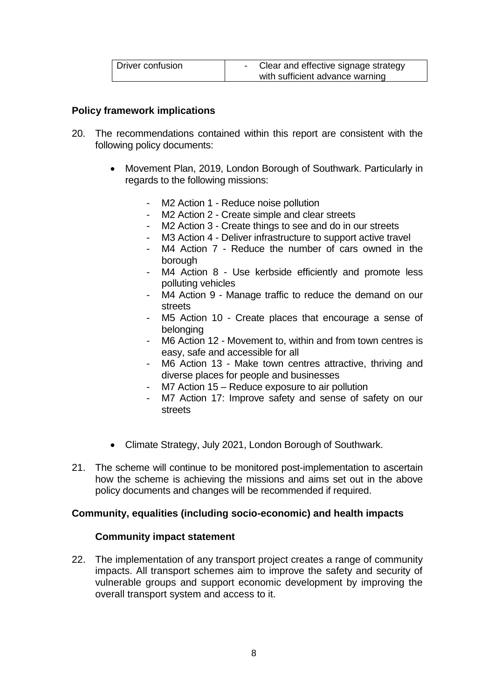| Driver confusion | Clear and effective signage strategy |
|------------------|--------------------------------------|
|                  | with sufficient advance warning      |

#### **Policy framework implications**

- 20. The recommendations contained within this report are consistent with the following policy documents:
	- Movement Plan, 2019, London Borough of Southwark. Particularly in regards to the following missions:
		- M2 Action 1 Reduce noise pollution
		- M2 Action 2 Create simple and clear streets
		- M2 Action 3 Create things to see and do in our streets
		- M3 Action 4 Deliver infrastructure to support active travel
		- M4 Action 7 Reduce the number of cars owned in the borough
		- M4 Action 8 Use kerbside efficiently and promote less polluting vehicles
		- M4 Action 9 Manage traffic to reduce the demand on our streets
		- M5 Action 10 Create places that encourage a sense of belonging
		- M6 Action 12 Movement to, within and from town centres is easy, safe and accessible for all
		- M6 Action 13 Make town centres attractive, thriving and diverse places for people and businesses
		- M7 Action 15 Reduce exposure to air pollution
		- M7 Action 17: Improve safety and sense of safety on our streets
	- Climate Strategy, July 2021, London Borough of Southwark.
- 21. The scheme will continue to be monitored post-implementation to ascertain how the scheme is achieving the missions and aims set out in the above policy documents and changes will be recommended if required.

#### **Community, equalities (including socio-economic) and health impacts**

#### **Community impact statement**

22. The implementation of any transport project creates a range of community impacts. All transport schemes aim to improve the safety and security of vulnerable groups and support economic development by improving the overall transport system and access to it.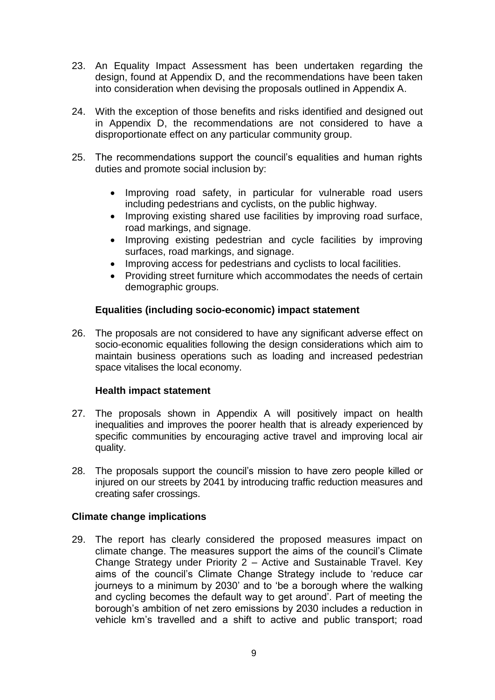- 23. An Equality Impact Assessment has been undertaken regarding the design, found at Appendix D, and the recommendations have been taken into consideration when devising the proposals outlined in Appendix A.
- 24. With the exception of those benefits and risks identified and designed out in Appendix D, the recommendations are not considered to have a disproportionate effect on any particular community group.
- 25. The recommendations support the council's equalities and human rights duties and promote social inclusion by:
	- Improving road safety, in particular for vulnerable road users including pedestrians and cyclists, on the public highway.
	- Improving existing shared use facilities by improving road surface, road markings, and signage.
	- Improving existing pedestrian and cycle facilities by improving surfaces, road markings, and signage.
	- Improving access for pedestrians and cyclists to local facilities.
	- Providing street furniture which accommodates the needs of certain demographic groups.

# **Equalities (including socio-economic) impact statement**

26. The proposals are not considered to have any significant adverse effect on socio-economic equalities following the design considerations which aim to maintain business operations such as loading and increased pedestrian space vitalises the local economy.

### **Health impact statement**

- 27. The proposals shown in Appendix A will positively impact on health inequalities and improves the poorer health that is already experienced by specific communities by encouraging active travel and improving local air quality.
- 28. The proposals support the council's mission to have zero people killed or injured on our streets by 2041 by introducing traffic reduction measures and creating safer crossings.

### **Climate change implications**

29. The report has clearly considered the proposed measures impact on climate change. The measures support the aims of the council's Climate Change Strategy under Priority 2 – Active and Sustainable Travel. Key aims of the council's Climate Change Strategy include to 'reduce car journeys to a minimum by 2030' and to 'be a borough where the walking and cycling becomes the default way to get around'. Part of meeting the borough's ambition of net zero emissions by 2030 includes a reduction in vehicle km's travelled and a shift to active and public transport; road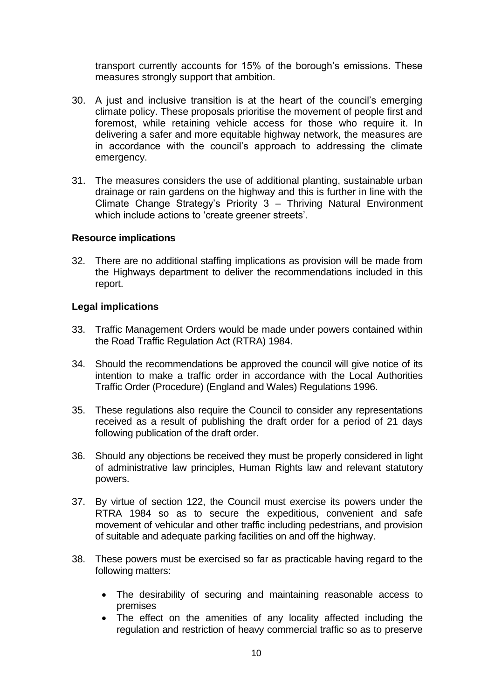transport currently accounts for 15% of the borough's emissions. These measures strongly support that ambition.

- 30. A just and inclusive transition is at the heart of the council's emerging climate policy. These proposals prioritise the movement of people first and foremost, while retaining vehicle access for those who require it. In delivering a safer and more equitable highway network, the measures are in accordance with the council's approach to addressing the climate emergency.
- 31. The measures considers the use of additional planting, sustainable urban drainage or rain gardens on the highway and this is further in line with the Climate Change Strategy's Priority 3 – Thriving Natural Environment which include actions to 'create greener streets'.

#### **Resource implications**

32. There are no additional staffing implications as provision will be made from the Highways department to deliver the recommendations included in this report.

### **Legal implications**

- 33. Traffic Management Orders would be made under powers contained within the Road Traffic Regulation Act (RTRA) 1984.
- 34. Should the recommendations be approved the council will give notice of its intention to make a traffic order in accordance with the Local Authorities Traffic Order (Procedure) (England and Wales) Regulations 1996.
- 35. These regulations also require the Council to consider any representations received as a result of publishing the draft order for a period of 21 days following publication of the draft order.
- 36. Should any objections be received they must be properly considered in light of administrative law principles, Human Rights law and relevant statutory powers.
- 37. By virtue of section 122, the Council must exercise its powers under the RTRA 1984 so as to secure the expeditious, convenient and safe movement of vehicular and other traffic including pedestrians, and provision of suitable and adequate parking facilities on and off the highway.
- 38. These powers must be exercised so far as practicable having regard to the following matters:
	- The desirability of securing and maintaining reasonable access to premises
	- The effect on the amenities of any locality affected including the regulation and restriction of heavy commercial traffic so as to preserve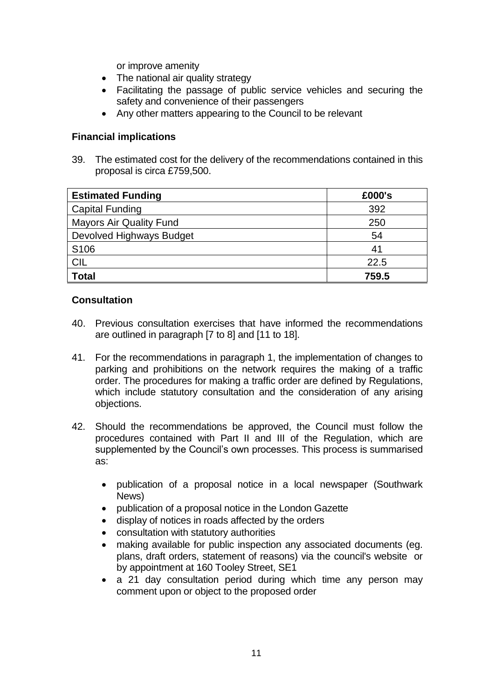or improve amenity

- The national air quality strategy
- Facilitating the passage of public service vehicles and securing the safety and convenience of their passengers
- Any other matters appearing to the Council to be relevant

# **Financial implications**

39. The estimated cost for the delivery of the recommendations contained in this proposal is circa £759,500.

| <b>Estimated Funding</b>       | £000's |
|--------------------------------|--------|
| Capital Funding                | 392    |
| <b>Mayors Air Quality Fund</b> | 250    |
| Devolved Highways Budget       | 54     |
| S <sub>106</sub>               | 41     |
| <b>CIL</b>                     | 22.5   |
| <b>Total</b>                   | 759.5  |

### **Consultation**

- 40. Previous consultation exercises that have informed the recommendations are outlined in paragraph [7 to 8] and [11 to 18].
- 41. For the recommendations in paragraph 1, the implementation of changes to parking and prohibitions on the network requires the making of a traffic order. The procedures for making a traffic order are defined by Regulations, which include statutory consultation and the consideration of any arising objections.
- 42. Should the recommendations be approved, the Council must follow the procedures contained with Part II and III of the Regulation, which are supplemented by the Council's own processes. This process is summarised as:
	- publication of a proposal notice in a local newspaper (Southwark News)
	- publication of a proposal notice in the London Gazette
	- display of notices in roads affected by the orders
	- consultation with statutory authorities
	- making available for public inspection any associated documents (eg. plans, draft orders, statement of reasons) via the council's website or by appointment at 160 Tooley Street, SE1
	- a 21 day consultation period during which time any person may comment upon or object to the proposed order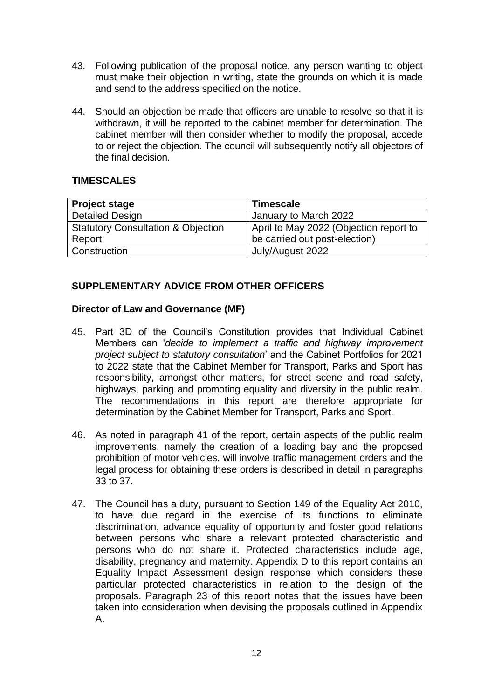- 43. Following publication of the proposal notice, any person wanting to object must make their objection in writing, state the grounds on which it is made and send to the address specified on the notice.
- 44. Should an objection be made that officers are unable to resolve so that it is withdrawn, it will be reported to the cabinet member for determination. The cabinet member will then consider whether to modify the proposal, accede to or reject the objection. The council will subsequently notify all objectors of the final decision.

# **TIMESCALES**

| <b>Project stage</b>                          | <b>Timescale</b>                       |
|-----------------------------------------------|----------------------------------------|
| <b>Detailed Design</b>                        | January to March 2022                  |
| <b>Statutory Consultation &amp; Objection</b> | April to May 2022 (Objection report to |
| Report                                        | be carried out post-election)          |
| Construction                                  | July/August 2022                       |

# **SUPPLEMENTARY ADVICE FROM OTHER OFFICERS**

### **Director of Law and Governance (MF)**

- 45. Part 3D of the Council's Constitution provides that Individual Cabinet Members can '*decide to implement a traffic and highway improvement project subject to statutory consultation*' and the Cabinet Portfolios for 2021 to 2022 state that the Cabinet Member for Transport, Parks and Sport has responsibility, amongst other matters, for street scene and road safety, highways, parking and promoting equality and diversity in the public realm. The recommendations in this report are therefore appropriate for determination by the Cabinet Member for Transport, Parks and Sport.
- 46. As noted in paragraph 41 of the report, certain aspects of the public realm improvements, namely the creation of a loading bay and the proposed prohibition of motor vehicles, will involve traffic management orders and the legal process for obtaining these orders is described in detail in paragraphs 33 to 37.
- 47. The Council has a duty, pursuant to Section 149 of the Equality Act 2010, to have due regard in the exercise of its functions to eliminate discrimination, advance equality of opportunity and foster good relations between persons who share a relevant protected characteristic and persons who do not share it. Protected characteristics include age, disability, pregnancy and maternity. Appendix D to this report contains an Equality Impact Assessment design response which considers these particular protected characteristics in relation to the design of the proposals. Paragraph 23 of this report notes that the issues have been taken into consideration when devising the proposals outlined in Appendix A.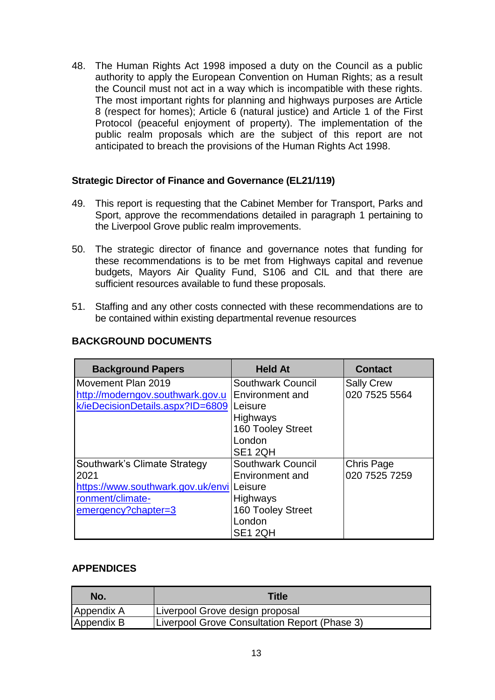48. The Human Rights Act 1998 imposed a duty on the Council as a public authority to apply the European Convention on Human Rights; as a result the Council must not act in a way which is incompatible with these rights. The most important rights for planning and highways purposes are Article 8 (respect for homes); Article 6 (natural justice) and Article 1 of the First Protocol (peaceful enjoyment of property). The implementation of the public realm proposals which are the subject of this report are not anticipated to breach the provisions of the Human Rights Act 1998.

### **Strategic Director of Finance and Governance (EL21/119)**

- 49. This report is requesting that the Cabinet Member for Transport, Parks and Sport, approve the recommendations detailed in paragraph 1 pertaining to the Liverpool Grove public realm improvements.
- 50. The strategic director of finance and governance notes that funding for these recommendations is to be met from Highways capital and revenue budgets, Mayors Air Quality Fund, S106 and CIL and that there are sufficient resources available to fund these proposals.
- 51. Staffing and any other costs connected with these recommendations are to be contained within existing departmental revenue resources

| <b>Background Papers</b>                  | <b>Held At</b>           | <b>Contact</b>    |
|-------------------------------------------|--------------------------|-------------------|
| Movement Plan 2019                        | <b>Southwark Council</b> | <b>Sally Crew</b> |
| http://moderngov.southwark.gov.u          | Environment and          | 020 7525 5564     |
| k/ieDecisionDetails.aspx?ID=6809          | Leisure                  |                   |
|                                           | <b>Highways</b>          |                   |
|                                           | 160 Tooley Street        |                   |
|                                           | London                   |                   |
|                                           | SE1 2QH                  |                   |
| Southwark's Climate Strategy              | <b>Southwark Council</b> | <b>Chris Page</b> |
| 2021                                      | Environment and          | 020 7525 7259     |
| https://www.southwark.gov.uk/envilLeisure |                          |                   |
| ronment/climate-                          | <b>Highways</b>          |                   |
| emergency?chapter=3                       | 160 Tooley Street        |                   |
|                                           | London                   |                   |
|                                           | SE <sub>1</sub> 2QH      |                   |

# **BACKGROUND DOCUMENTS**

### **APPENDICES**

| No.        | <b>Title</b>                                  |
|------------|-----------------------------------------------|
| Appendix A | Liverpool Grove design proposal               |
| Appendix B | Liverpool Grove Consultation Report (Phase 3) |